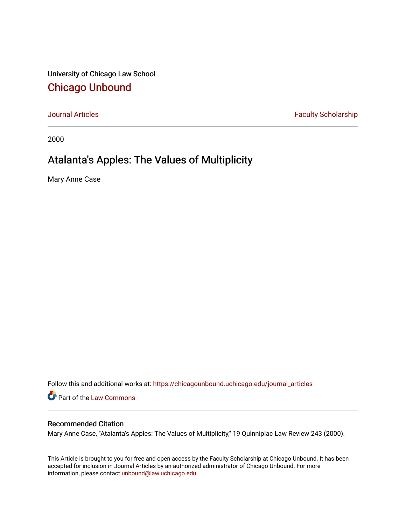University of Chicago Law School [Chicago Unbound](https://chicagounbound.uchicago.edu/)

[Journal Articles](https://chicagounbound.uchicago.edu/journal_articles) **Faculty Scholarship Faculty Scholarship** 

2000

### Atalanta's Apples: The Values of Multiplicity

Mary Anne Case

Follow this and additional works at: [https://chicagounbound.uchicago.edu/journal\\_articles](https://chicagounbound.uchicago.edu/journal_articles?utm_source=chicagounbound.uchicago.edu%2Fjournal_articles%2F1112&utm_medium=PDF&utm_campaign=PDFCoverPages) 

Part of the [Law Commons](http://network.bepress.com/hgg/discipline/578?utm_source=chicagounbound.uchicago.edu%2Fjournal_articles%2F1112&utm_medium=PDF&utm_campaign=PDFCoverPages)

#### Recommended Citation

Mary Anne Case, "Atalanta's Apples: The Values of Multiplicity," 19 Quinnipiac Law Review 243 (2000).

This Article is brought to you for free and open access by the Faculty Scholarship at Chicago Unbound. It has been accepted for inclusion in Journal Articles by an authorized administrator of Chicago Unbound. For more information, please contact [unbound@law.uchicago.edu](mailto:unbound@law.uchicago.edu).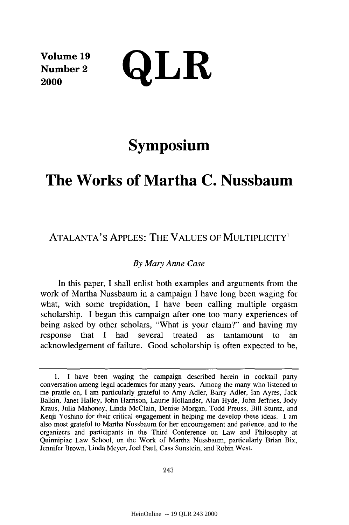**Volume 19 Number 2**

 $\sum_{2000}^{\text{Volume 19}}$  QLR

# **Symposium**

## **The Works of Martha C. Nussbaum**

### ATALANTA'S APPLES: THE VALUES OF MULTIPLICITY'

#### *By Mary Anne Case*

In this paper, I shall enlist both examples and arguments from the work of Martha Nussbaum in a campaign I have long been waging for what, with some trepidation, I have been calling multiple orgasm scholarship. I began this campaign after one too many experiences of being asked by other scholars, "What is your claim?" and having my response that **I** had several treated as tantamount to an acknowledgement of failure. Good scholarship is often expected to be,

<sup>1.</sup> I have been waging the campaign described herein in cocktail party conversation among legal academics for many years. Among the many who listened to me prattle on, I am particularly grateful to Amy Adler, Barry Adler, Ian Ayres, Jack Balkin, Janet Halley, John Harrison, Laurie Hollander, Alan Hyde, John Jeffries, Jody Kraus, Julia Mahoney, Linda McClain, Denise Morgan, Todd Preuss, Bill Stuntz, and Kenji Yoshino for their critical engagement in helping me develop these ideas. I am also most grateful to Martha Nussbaum for her encouragement and patience, and to the organizers and participants in the Third Conference on Law and Philosophy at Quinnipiac Law School, on the Work of Martha Nussbaum, particularly Brian Bix, Jennifer Brown, Linda Meyer, Joel Paul, Cass Sunstein, and Robin West.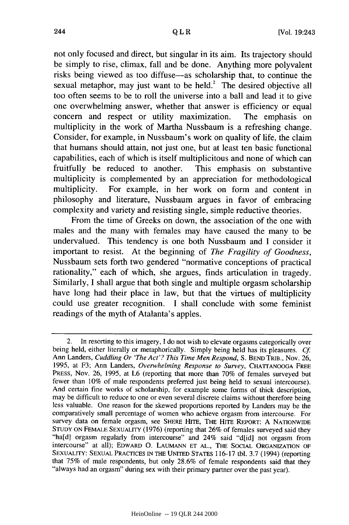not only focused and direct, but singular in its aim. Its trajectory should be simply to rise, climax, fall and be done. Anything more polyvalent risks being viewed as too diffuse-as scholarship that, to continue the sexual metaphor, may just want to be held.<sup>2</sup> The desired objective all too often seems to be to roll the universe into a ball and lead it to give one overwhelming answer, whether that answer is efficiency or equal concern and respect or utility maximization. The emphasis on multiplicity in the work of Martha Nussbaum is a refreshing change. Consider, for example, in Nussbaum's work on quality of life, the claim that humans should attain, not just one, but at least ten basic functional capabilities, each of which is itself multiplicitous and none of which can fruitfully be reduced to another. This emphasis on substantive multiplicity is complemented by an appreciation for methodological multiplicity. For example, in her work on form and content in philosophy and literature, Nussbaum argues in favor of embracing complexity and variety and resisting single, simple reductive theories.

From the time of Greeks on down, the association of the one with males and the many with females may have caused the many to be undervalued. This tendency is one both Nussbaum and I consider it important to resist. At the beginning of *The Fragility of Goodness,* Nussbaum sets forth two gendered "normative conceptions of practical rationality," each of which, she argues, finds articulation in tragedy. Similarly, I shall argue that both single and multiple orgasm scholarship have long had their place in law, but that the virtues of multiplicity could use greater recognition. I shall conclude with some feminist readings of the myth of Atalanta's apples.

<sup>2.</sup> In resorting to this imagery, I do not wish to elevate orgasms categorically over being held, either literally or metaphorically. Simply being held has its pleasures. *Cf* Ann Landers, *Cuddling Or 'The Act'? This Time Men Respond,* S. **BEND** TRIB., Nov. 26, 1995, at F3; Ann Landers, *Overwhelming Response to Survey,* **CHATTANOOGA** FREE PRESS, Nov. 26, 1995, at L6 (reporting that more than 70% of females surveyed but fewer than 10% of male respondents preferred just being held to sexual intercourse). And certain fine works of scholarship, for example some forms of thick description, may be difficult to reduce to one or even several discrete claims without therefore being less valuable. One reason for the skewed proportions reported by Landers may be the comparatively small percentage of women who achieve orgasm from intercourse. For survey data on female orgasm, see SHERE HITE, THE HiTE REPORT: A **NATIONWIDE STUDY** ON FEMALE SEXUALITY (1976) (reporting that 26% of females surveyed said they "ha[d] orgasm regularly from intercourse" and 24% said "d[id] not orgasm from intercourse" at all); EDWARD O. **LAUMANN ET AL.,** THE SOCIAL **ORGANIZATION** OF SEXUALITY: **SEXUAL PRACTICES IN** THE **UNITED** STATES 116-17 tbl. 3.7 (1994) (reporting that 75% of male respondents, but only 28.6% of female respondents said that they "always had an orgasm" during sex with their primary partner over the past year).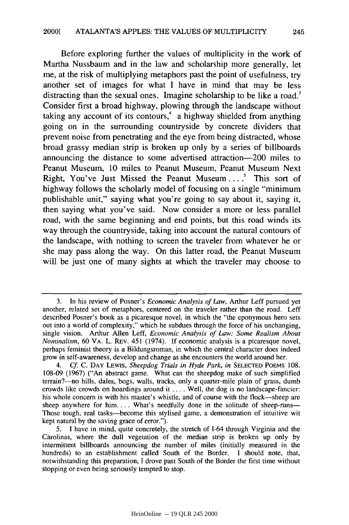Before exploring further the values of multiplicity in the work of Martha Nussbaum and in the law and scholarship more generally, let me, at the risk of multiplying metaphors past the point of usefulness, try another set of images for what I have in mind that may be less distracting than the sexual ones. Imagine scholarship to be like a road.<sup>3</sup> Consider first a broad highway, plowing through the landscape without taking any account of its contours, $4$  a highway shielded from anything going on in the surrounding countryside by concrete dividers that prevent noise from penetrating and the eye from being distracted, whose broad grassy median strip is broken up only by a series of billboards announcing the distance to some advertised attraction-200 miles to Peanut Museum, 10 miles to Peanut Museum, Peanut Museum Next Right, You've Just Missed the Peanut Museum....' This sort of highway follows the scholarly model of focusing on a single "minimum publishable unit," saying what you're going to say about it, saying it, then saying what you've said. Now consider a more or less parallel road, with the same beginning and end points, but this road winds its way through the countryside, taking into account the natural contours of the landscape, with nothing to screen the traveler from whatever he or she may pass along the way. On this latter road, the Peanut Museum will be just one of many sights at which the traveler may choose to

<sup>3.</sup> In his review of Posner's *Economic Analysis of Law,* Arthur Leff pursued yet another, related set of metaphors, centered on the traveler rather than the road. Leff described Posner's book as a picaresque novel, in which the "the eponymous hero sets out into a world of complexity," which he subdues through the force of his unchanging, single vision. Arthur Allen Leff, *Economic Analysis of Law: Some Realism About Nominalism,* **60** VA. L. REv. 451 (1974). If economic analysis is a picaresque novel, perhaps feminist theory is a Bildungsroman, in which the central character does indeed grow in self-awareness, develop and change as she encounters the world around her.

*<sup>4.</sup> Cf.* C. DAY LEWIS, *Sheepdog Trials in Hyde Park, in* **SELECTED POEMS** 108. 108-09 (1967) ("An abstract game. What can the sheepdog make of such simplified terrain?-no hills, dales, bogs, walls, tracks, only a quarter-mile plain of grass, dumb crowds like crowds on hoardings around it .... Well, the dog is no landscape-fancier: his whole concern is with his master's whistle, and of course with the flock-sheep are sheep anywhere for him.... What's needfully done in the solitude of sheep-runs-Those tough, real tasks-become this stylised game, a demonstration of intuitive wit kept natural by the saving grace of error.").

<sup>5.</sup> **I** have in mind, quite concretely, the stretch of 1-64 through Virginia and the Carolinas, where the dull vegetation of the median strip is broken up only by intermittent billboards announcing the number of miles (initially measured in the hundreds) to an establishment called South of the Border. **I** should note, that, notwithstanding this preparation, **I** drove past South of the Border the first time without stopping or even being seriously tempted to stop.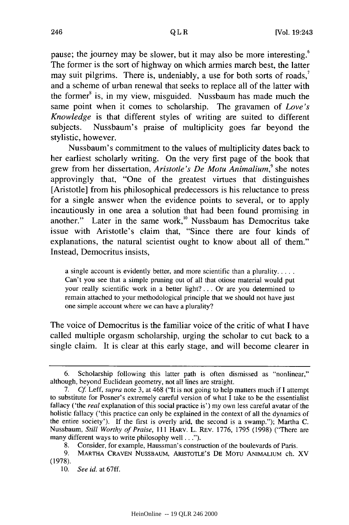pause; the journey may be slower, but it may also be more interesting.<sup>6</sup> The former is the sort of highway on which armies march best, the latter may suit pilgrims. There is, undeniably, a use for both sorts of roads,<sup>7</sup> and a scheme of urban renewal that seeks to replace all of the latter with the former<sup>8</sup> is, in my view, misguided. Nussbaum has made much the same point when it comes to scholarship. The gravamen of *Love's Knowledge* is that different styles of writing are suited to different subjects. Nussbaum's praise of multiplicity goes far beyond the stylistic, however.

Nussbaum's commitment to the values of multiplicity dates back to her earliest scholarly writing. On the very first page of the book that grew from her dissertation, *Aristotle's De Motu Animalium*,<sup>9</sup> she notes approvingly that, "One of the greatest virtues that distinguishes [Aristotle] from his philosophical predecessors is his reluctance to press for a single answer when the evidence points to several, or to apply incautiously in one area a solution that had been found promising in another." Later in the same work,<sup>10</sup> Nussbaum has Democritus take issue with Aristotle's claim that, "Since there are four kinds of explanations, the natural scientist ought to know about all of them." Instead, Democritus insists,

a single account is evidently better, and more scientific than a plurality **...** Can't you see that a simple pruning out of all that otiose material would put your really scientific work in a better light? **...** Or are you determined to remain attached to your methodological principle that we should not have just one simple account where we can have a plurality?

The voice of Democritus is the familiar voice of the critic of what I have called multiple orgasm scholarship, urging the scholar to cut back to a single claim. It is clear at this early stage, and will become clearer in

<sup>6.</sup> Scholarship following this latter path is often dismissed as "nonlinear," although, beyond Euclidean geometry, not all lines are straight.

<sup>7.</sup> Cf Leff, *supra* note 3, at 468 ("It is not going to help matters much if I attempt to substitute for Posner's extremely careful version of what I take to be the essentialist fallacy ('the *real* explanation of this social practice is') my own less careful avatar of the holistic fallacy ('this practice can only be explained in the context of all the dynamics of the entire society'). If the first is overly arid, the second is a swamp."); Martha C. Nussbaum, *Still Worthy of Praise,* 111 HARV. L. REV. 1776, 1795 (1998) ("There are many different ways to write philosophy **well...").**

<sup>8.</sup> Consider, for example, Haussman's construction of the boulevards of Paris.

<sup>9.</sup> MARTHA **CRAVEN** NusSBAUM, ARISTOTLE's DE MoTU **ANIMALIUM** ch. XV (1978).

<sup>10.</sup> *See id.* at 67ff.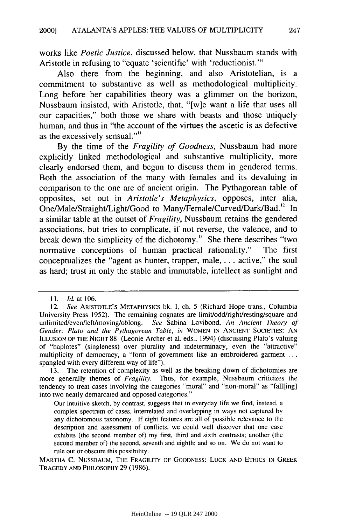works like *Poetic Justice,* discussed below, that Nussbaum stands with Aristotle in refusing to "equate 'scientific' with 'reductionist."'

Also there from the beginning, and also Aristotelian, is a commitment to substantive as well as methodological multiplicity. Long before her capabilities theory was a glimmer on the horizon, Nussbaum insisted, with Aristotle, that, "[w]e want a life that uses all our capacities," both those we share with beasts and those uniquely human, and thus in "the account of the virtues the ascetic is as defective as the excessively sensual.""

By the time of the *Fragility of Goodness,* Nussbaum had more explicitly linked methodological and substantive multiplicity, more clearly endorsed them, and begun to discuss them in gendered terms. Both the association of the many with females and its devaluing in comparison to the one are of ancient origin. The Pythagorean table of opposites, set out in *Aristotle's Metaphysics,* opposes, inter alia, One/Male/Straight/Light/Good to Many/Female/Curved/Dark/Bad.<sup>12</sup> In a similar table at the outset of *Fragility,* Nussbaum retains the gendered associations, but tries to complicate, if not reverse, the valence, and to break down the simplicity of the dichotomy.<sup>13</sup> She there describes "two normative conceptions of human practical rationality." The first conceptualizes the "agent as hunter, trapper, male, . **.** . active," the soul as hard; trust in only the stable and immutable, intellect as sunlight and

*<sup>11.</sup>* **Id.** at **106.**

<sup>12.</sup> *See* ARISTOTLE'S METAPHYSICS bk. I, ch. 5 (Richard Hope trans., Columbia University Press 1952). The remaining cognates are limit/odd/right/resting/square and unlimited/even/left/moving/oblong. *See* Sabina Lovibond, *An Ancient Theory of Gender: Plato and the Pythagorean Table, in* WOMEN IN ANCIENT SOCIETIES: AN ILLUSION OF THE NIGHT 88 (Leonie Archer et al. eds., 1994) (discussing Plato's valuing of "haplotes" (singleness) over plurality and indeterminacy, even the "attractive" multiplicity of democracy, a "form of government like an embroidered garment **...** spangled with every different way of life").

<sup>13.</sup> The retention of complexity as well as the breaking down of dichotomies are more generally themes of *Fragility.* Thus, for example, Nussbaum criticizes the tendency to treat cases involving the categories "moral" and "non-moral" as "fall[ing] into two neatly demarcated and opposed categories."

Our intuitive sketch, by contrast, suggests that in everyday life we find, instead, a complex spectrum of cases, interrelated and overlapping in ways not captured by any dichotomous taxonomy. If eight features are all of possible relevance to the description and assessment of conflicts, we could well discover that one case exhibits (the second member of) my first, third and sixth contrasts; another (the second member of) the second, seventh and eighth; and so on. We do not want to rule out or obscure this possibility.

MARTHA C. **NUSSBAUM,** THE FRAGILITY OF **GOODNESS: LUCK AND ETHICS IN** GREEK TRAGEDY **AND** PHILOSOPHY 29 (1986).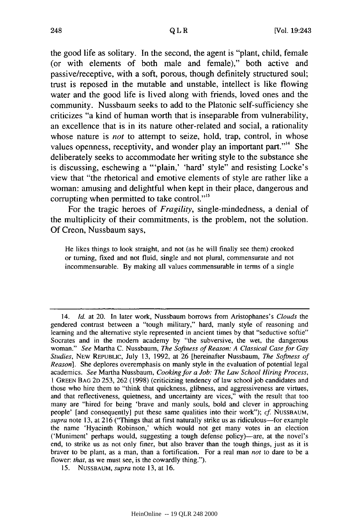the good life as solitary. In the second, the agent is "plant, child, female (or with elements of both male and female)," both active and passive/receptive, with a soft, porous, though definitely structured soul; trust is reposed in the mutable and unstable, intellect is like flowing water and the good life is lived along with friends, loved ones and the community. Nussbaum seeks to add to the Platonic self-sufficiency she criticizes "a kind of human worth that is inseparable from vulnerability, an excellence that is in its nature other-related and social, a rationality whose nature is *not* to attempt to seize, hold, trap, control, in whose values openness, receptivity, and wonder play an important part."<sup>14</sup> She deliberately seeks to accommodate her writing style to the substance she is discussing, eschewing a "'plain,' 'hard' style" and resisting Locke's view that "the rhetorical and emotive elements of style are rather like a woman: amusing and delightful when kept in their place, dangerous and corrupting when permitted to take control."<sup>15</sup>

For the tragic heroes of *Fragility,* single-mindedness, a denial of the multiplicity of their commitments, is the problem, not the solution. Of Creon, Nussbaum says,

He likes things to look straight, and not (as he will finally see them) crooked or turning, fixed and not fluid, single and not plural, commensurate and not incommensurable. By making all values commensurable in terms of a single

<sup>14.</sup> *Id.* at 20. In later work, Nussbaum borrows from Aristophanes's *Clouds* the gendered contrast between a "tough military," hard, manly style of reasoning and learning and the alternative style represented in ancient times by that "seductive softie" Socrates and in the modem academy by "the subversive, the wet, the dangerous woman." *See* Martha C. Nussbaum, *The Softness of Reason: A Classical Case for Gay Studies,* NEW REPUBLIC, July 13, 1992, at 26 [hereinafter Nussbaum, *The Softness of Reason*]. She deplores overemphasis on manly style in the evaluation of potential legal academics. *See* Martha Nussbaum, *Cooking for a Job: The Law School Hiring Process,* 1 **GREEN BAG** 2D 253, 262 (1998) (criticizing tendency of law school job candidates and those who hire them to "think that quickness, glibness, and aggressiveness are virtues, and that reflectiveness, quietness, and uncertainty are vices," with the result that too many are "hired for being 'brave and manly souls, bold and clever in approaching people' [and consequently] put these same qualities into their work"); *cf.* **NUSSBAUM,** supra note 13, at 216 ("Things that at first naturally strike us as ridiculous-for example the name 'Hyacinth Robinson,' which would not get many votes in an election ('Muniment' perhaps would, suggesting a tough defense policy)—are, at the novel's end, to strike us as not only finer, but also braver than the tough things, just as it is braver to be plant, as a man, than a fortification. For a real man *not* to dare to be a flower: *that*, as we must see, is the cowardly thing.").

**<sup>15.</sup>** NUSSBAUM, *supra* note 13, at 16.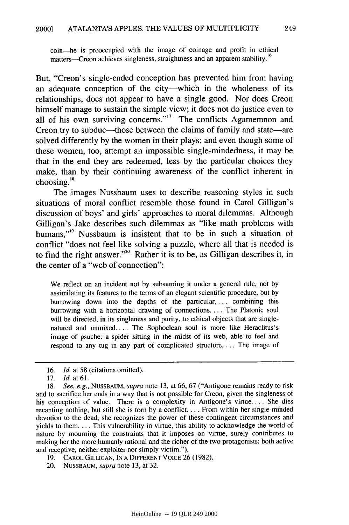coin-he is preoccupied with the image of coinage and profit in ethical matters-Creon achieves singleness, straightness and an apparent stability.<sup>16</sup>

But, "Creon's single-ended conception has prevented him from having an adequate conception of the city—which in the wholeness of its relationships, does not appear to have a single good. Nor does Creon himself manage to sustain the simple view; it does not do justice even to all of his own surviving concerns."<sup>17</sup> The conflicts Agamemnon and Creon try to subdue—those between the claims of family and state—are solved differently by the women in their plays; and even though some of these women, too, attempt an impossible single-mindedness, it may be that in the end they are redeemed, less by the particular choices they make, than by their continuing awareness of the conflict inherent in choosing.'

The images Nussbaum uses to describe reasoning styles in such situations of moral conflict resemble those found in Carol Gilligan's discussion of boys' and girls' approaches to moral dilemmas. Although Gilligan's Jake describes such dilemmas as "like math problems with humans,"<sup>19</sup> Nussbaum is insistent that to be in such a situation of conflict "does not feel like solving a puzzle, where all that is needed is to find the right answer."<sup>20</sup> Rather it is to be, as Gilligan describes it, in the center of a "web of connection":

We reflect on an incident not by subsuming it under a general rule, not by assimilating its features to the terms of an elegant scientific procedure, but by burrowing down into the depths of the particular, ... combining this burrowing with a horizontal drawing of connections .... The Platonic soul will be directed, in its singleness and purity, to ethical objects that are singlenatured and unmixed. ... The Sophoclean soul is more like Heraclitus's image of psuche: a spider sitting in the midst of its web, able to feel and respond to any tug in any part of complicated structure.... The image of

- **19.** CAROL **GILLIGAN, IN A** DIFFERENT **VOICE** 26 (1982).
- 20. NUSSBAUM, *supra* note 13, at 32.

<sup>16.</sup> *Id.* at 58 (citations omitted).

<sup>17.</sup> *Id.* at **61.**

<sup>18.</sup> *See, e.g.,* NUSSBAUM, *supra* note 13, at **66,** 67 ("Antigone remains ready to risk and to sacrifice her ends in a way that is not possible for Creon, given the singleness of his conception of value. There is a complexity in Antigone's virtue.... She dies recanting nothing, but still she is torn by a conflict.... From within her single-minded devotion to the dead, she recognizes the power of these contingent circumstances and yields to them.... This vulnerability in virtue, this ability to acknowledge the world of nature by mourning the constraints that it imposes on virtue, surely contributes to making her the more humanly rational and the richer of the two protagonists: both active and receptive, neither exploiter nor simply victim.").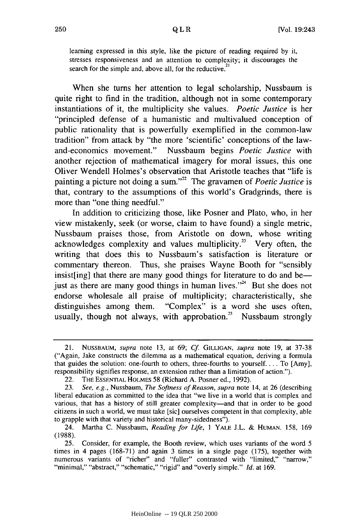learning expressed in this style, like the picture of reading required by it, stresses responsiveness and an attention to complexity; it discourages the search for the simple and, above all, for the reductive.<sup>21</sup>

When she turns her attention to legal scholarship, Nussbaum is quite right to find in the tradition, although not in some contemporary instantiations of it, the multiplicity she values. *Poetic Justice* is her "principled defense of a humanistic and multivalued conception of public rationality that is powerfully exemplified in the common-law tradition" from attack by "the more 'scientific' conceptions of the lawand-economics movement." Nussbaum begins *Poetic Justice* with another rejection of mathematical imagery for moral issues, this one Oliver Wendell Holmes's observation that Aristotle teaches that "life is painting a picture not doing a sum."<sup>22</sup> The gravamen of *Poetic Justice* is that, contrary to the assumptions of this world's Gradgrinds, there is more than "one thing needful."

In addition to criticizing those, like Posner and Plato, who, in her view mistakenly, seek (or worse, claim to have found) a single metric, Nussbaum praises those, from Aristotle on down, whose writing acknowledges complexity and values multiplicity.<sup>23</sup> Very often, the writing that does this to Nussbaum's satisfaction is literature or commentary thereon. Thus, she praises Wayne Booth for "sensibly insist[ing] that there are many good things for literature to do and be just as there are many good things in human lives."<sup>24</sup> But she does not endorse wholesale all praise of multiplicity; characteristically, she distinguishes among them. "Complex" is a word she uses often, usually, though not always, with approbation.<sup>25</sup> Nussbaum strongly

<sup>21.</sup> NUSSBAUM, supra note 13, at 69; *Cf* **GILLIGAN,** supra note 19, at 37-38 ("Again, Jake constructs the dilemma as a mathematical equation, deriving a formula that guides the solution: one-fourth to others, three-fourths to yourself.... To [Amy], responsibility signifies response, an extension rather than a limitation of action.").

<sup>22.</sup> THE ESSENTIAL HOLMES 58 (Richard A. Posner ed., 1992).

<sup>23.</sup> See, e.g., Nussbaum, *The Softness of Reason, supra* note 14, at 26 (describing liberal education as committed to the idea that "we live in a world that is complex and various, that has a history of still greater complexity-and that in order to be good citizens in such a world, we must take [sic] ourselves competent in that complexity, able to grapple with that variety and historical many-sidedness").

<sup>24.</sup> Martha C. Nussbaum, *Reading for Life,* 1 YALE J.L. & **HUMAN.** 158, 169 (1988).

<sup>25.</sup> Consider, for example, the Booth review, which uses variants of the word 5 times in 4 pages (168-71) and again 3 times in a single page (175), together with numerous variants of "richer" and "fuller" contrasted with "limited," "narrow," "minimal," "abstract," "schematic," "rigid" and "overly simple." *Id.* at 169.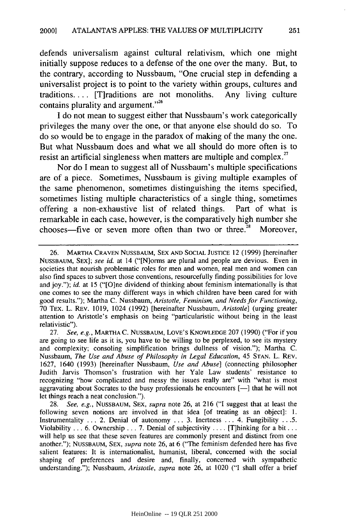defends universalism against cultural relativism, which one might initially suppose reduces to a defense of the one over the many. But, to the contrary, according to Nussbaum, "One crucial step in defending a universalist project is to point to the variety within groups, cultures and traditions.... [T]raditions are not monoliths. Any living culture contains plurality and argument."<sup>26</sup>

**I** do not mean to suggest either that Nussbaum's work categorically privileges the many over the one, or that anyone else should do so. To do so would be to engage in the paradox of making of the many the one. But what Nussbaum does and what we all should do more often is to resist an artificial singleness when matters are multiple and complex.<sup>27</sup>

Nor do **I** mean to suggest all of Nussbaum's multiple specifications are of a piece. Sometimes, Nussbaum is giving multiple examples of the same phenomenon, sometimes distinguishing the items specified, sometimes listing multiple characteristics of a single thing, sometimes offering a non-exhaustive list of related things. Part of what is remarkable in each case, however, is the comparatively high number she chooses—five or seven more often than two or three.<sup>28</sup> Moreover,

<sup>26.</sup> MARTHA CRAVEN NUSSBAUM, SEX AND SOCIAL **JUSTICE** 12 (1999) [hereinafter NUSSBAUM, SEX]; see *id.* at 14 ("[N]orms are plural and people are devious. Even in societies that nourish problematic roles for men and women, real men and women can also find spaces to subvert those conventions, resourcefully finding possibilities for love and joy."); *id.* at 15 ("[O]ne dividend of thinking about feminism internationally is that one comes to see the many different ways in which children have been cared for with good results."); Martha C. Nussbaum, *Aristotle, Feminism, and Needs for Functioning,* 70 TEX. L. REV. 1019, 1024 (1992) [hereinafter Nussbaum, *Aristotle]* (urging greater attention to Aristotle's emphasis on being "particularistic without being in the least relativistic").

<sup>27.</sup> *See, e.g.,* MARTHA C. NUSSBAUM, LOVE'S **KNOWLEDGE** 207 (1990) ("For if you are going to see life as it is, you have to be willing to be perplexed, to see its mystery and complexity; consoling simplification brings dullness of vision."); Martha C. Nussbaum, *The Use and Abuse of Philosophy in Legal Education,* 45 STAN. L. REV. 1627, 1640 (1993) [hereinafter Nussbaum, *Use and Abuse]* (connecting philosopher Judith Jarvis Thomson's frustration with her Yale Law students' resistance to recognizing "how complicated and messy the issues really are" with "what is most aggravating about Socrates to the busy professionals he encounters **[-]** that he will not let things reach a neat conclusion.").

<sup>28.</sup> *See, e.g.,* NUSSBAUM, SEX, *supra* note 26, at 216 ("I suggest that at least the following seven notions are involved in that idea [of treating as an object]: 1. Instrumentality ... 2. Denial of autonomy ... 3. Inertness ... 4. Fungibility ... 5. Violability ... 6. Ownership ... 7. Denial of subjectivity .... [T]hinking for a **bit...** will help us see that these seven features are commonly present and distinct from one another."); NUSSBAUM, SEX, *supra* note 26, at 6 ("The feminism defended here has five salient features: It is internationalist, humanist, liberal, concerned with the social shaping of preferences and desire and, finally, concerned with sympathetic understanding."); Nussbaum, *Aristotle, supra* note 26, at 1020 ("I shall offer a brief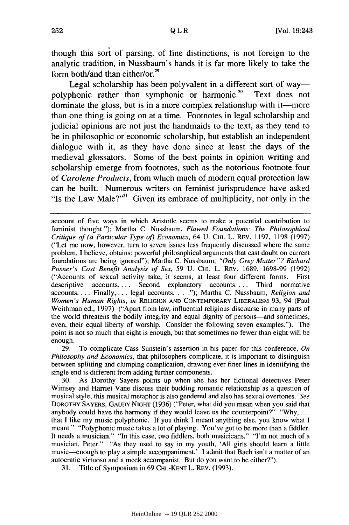though this sort of parsing, of fine distinctions, is not foreign to the analytic tradition, in Nussbaum's hands it is far more likely to take the form both/and than either/or.<sup>29</sup>

Legal scholarship has been polyvalent in a different sort of waypolyphonic rather than symphonic or harmonic.<sup>30</sup> Text does not dominate the gloss, but is in a more complex relationship with it—more than one thing is going on at a time. Footnotes in legal scholarship and judicial opinions are not just the handmaids to the text, as they tend to be in philosophic or economic scholarship, but establish an independent dialogue with it, as they have done since at least the days of the medieval glossators. Some of the best points in opinion writing and scholarship emerge from footnotes, such as the notorious footnote four of *Carolene Products,* from which much of modem equal protection law can be built. Numerous writers on feminist jurisprudence have asked "Is the Law Male?" $3$ <sup>1</sup> Given its embrace of multiplicity, not only in the

account of five ways in which Aristotle seems to make a potential contribution to feminist thought."); Martha C. Nussbaum, *Flawed Foundations: The Philosophical Critique of (a Particular Type of) Economics,* 64 U. **CHI.** L. REV. 1197, 1198 (1997) ("Let me now, however, turn to seven issues less frequently discussed where the same problem, I believe, obtains: powerful philosophical arguments that cast doubt on current foundations are being ignored"); Martha C. Nussbaum, *"Only Grey Matter"? Richard Posner's Cost Benefit Analysis of Sex,* 59 U. **CHI.** L. REV. 1689, 1698-99 (1992) ("Accounts of sexual activity take, it seems, at least four different forms. First descriptive accounts .... Second explanatory accounts .... Third normative accounts.... Finally, ... legal accounts... ."); Martha C. Nussbaum, *Religion and Women's Human Rights, in* RELIGION **AND** CONTEMPORARY LiBERALISM 93, 94 (Paul Weithman ed., 1997) ("Apart from law, influential religious discourse in many parts of the world threatens the bodily integrity and equal dignity of persons—and sometimes, even, their equal liberty of worship. Consider the following seven examples."). The point is not so much that eight is enough, but that sometimes no fewer than eight will be enough.

29. To complicate Cass Sunstein's assertion in his paper for this conference, *On Philosophy and Economics,* that philosophers complicate, it is important to distinguish between splitting and clumping complication, drawing ever finer lines in identifying the single end is different from adding further components.

30. As Dorothy Sayers points up when she has her fictional detectives Peter Wimsey and Harriet Vane discuss their budding romantic relationship as a question of musical style, this musical metaphor is also gendered and also has sexual overtones. *See* DOROTHY SAYERS, **GAUDY NIGHT** (1936) ("Peter, what did you mean when you said that anybody could have the harmony if they would leave us the counterpoint?" **"Why,** .... that I like my music polyphonic. If you think I meant anything else, you know what I meant." "Polyphonic music takes a lot of playing. You've got to be more than a fiddler. It needs a musician." "In this case, two fiddlers, both musicicans." "I'm not much of a musician, Peter." "As they used to say in my youth, 'All girls should learn a little music-enough to play a simple accompaniment.' I admit that Bach isn't a matter of an autocratic virtuoso and a meek accompanist. But do you want to be either?").

31. Title of Symposium in 69 CHI.-KENT L. REV. (1993).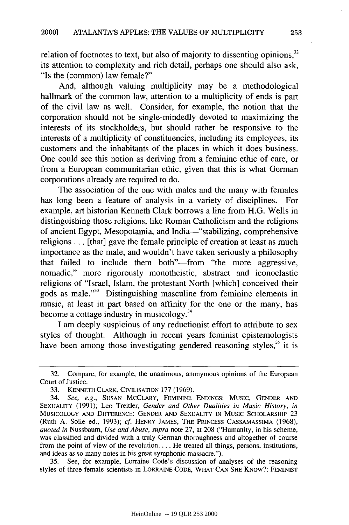relation of footnotes to text, but also of majority to dissenting opinions, $32$ its attention to complexity and rich detail, perhaps one should also ask, "Is the (common) law female?"

And, although valuing multiplicity may be a methodological hallmark of the common law, attention to a multiplicity of ends is part of the civil law as well. Consider, for example, the notion that the corporation should not be single-mindedly devoted to maximizing the interests of its stockholders, but should rather be responsive to the interests of a multiplicity of constituencies, including its employees, its customers and the inhabitants of the places in which it does business. One could see this notion as deriving from a feminine ethic of care, or from a European communitarian ethic, given that this is what German corporations already are required to do.

The association of the one with males and the many with females has long been a feature of analysis in a variety of disciplines. For example, art historian Kenneth Clark borrows a line from H.G. Wells in distinguishing those religions, like Roman Catholicism and the religions of ancient Egypt, Mesopotamia, and India-"stabilizing, comprehensive religions... [that] gave the female principle of creation at least as much importance as the male, and wouldn't have taken seriously a philosophy that failed to include them both"-from "the more aggressive, nomadic," more rigorously monotheistic, abstract and iconoclastic religions of "Israel, Islam, the protestant North [which] conceived their gods as male."<sup>33</sup> Distinguishing masculine from feminine elements in music, at least in part based on affinity for the one or the many, has become a cottage industry in musicology. <sup>34</sup>

I am deeply suspicious of any reductionist effort to attribute to sex styles of thought. Although in recent years feminist epistemologists have been among those investigating gendered reasoning styles,  $35$  it is

<sup>32.</sup> Compare, for example, the unanimous, anonymous opinions of the European Court of Justice.

<sup>33.</sup> **KENNETH** CLARK, CIVILISATION **177** (1969).

<sup>34.</sup> *See, e.g.,* **SUSAN** MCCLARY, **FEMININE ENDINGS:** Music, **GENDER AND SEXUALITY** (1991); Leo Treitler, *Gender and Other Dualities in Music History, in* **MUSICOLOGY AND** DIFFERENCE: **GENDER AND** SEXUALITY **IN MUSIC** SCHOLARSHIP 23 (Ruth A. Solie ed., 1993); *cf.* HENRY **JAMES, THE** PRINCESS **CASSAMASSIMA** (1968), *quoted in* Nussbaum, *Use and Abuse, supra* note 27, at 208 ("Humanity, in his scheme, was classified and divided with a truly German thoroughness and altogether of course from the point of view of the revolution.... He treated all things, persons, institutions, and ideas as so many notes in his great symphonic massacre.").

<sup>35.</sup> See, for example, Lorraine Code's discussion of analyses of the reasoning styles of three female scientists in LORRAINE **CODE,** WHAT **CAN SHE** KNOw?: FEMINIST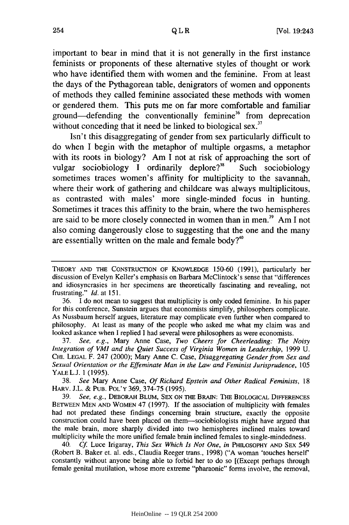important to bear in mind that it is not generally in the first instance feminists or proponents of these alternative styles of thought or work who have identified them with women and the feminine. From at least the days of the Pythagorean table, denigrators of women and opponents of methods they called feminine associated these methods with women or gendered them. This puts me on far more comfortable and familiar ground—defending the conventionally feminine<sup>36</sup> from deprecation without conceding that it need be linked to biological sex.<sup>37</sup>

Isn't this disaggregating of gender from sex particularly difficult to do when I begin with the metaphor of multiple orgasms, a metaphor with its roots in biology? Am I not at risk of approaching the sort of vulgar sociobiology I ordinarily deplore?<sup>38</sup> Such sociobiology sometimes traces women's affinity for multiplicity to the savannah, where their work of gathering and childcare was always multiplicitous, as contrasted with males' more single-minded focus in hunting. Sometimes it traces this affinity to the brain, where the two hemispheres are said to be more closely connected in women than in men.<sup>39</sup> Am I not also coming dangerously close to suggesting that the one and the many are essentially written on the male and female body? $40$ 

37. *See, e.g.,* Mary Anne Case, *Two Cheers for Cheerleading: The Noisy Integration of VMI and the Quiet Success of Virginia Women in Leadership,* 1999 U. CHI. **LEGAL** F. 247 (2000); Mary Anne C. Case, *Disaggregating Gender from Sex and Sexual Orientation or the Effeminate Man in the Law and Feminist Jurisprudence,* 105 YALE L.J. 1 (1995).

38. *See* Mary Anne Case, *Of Richard Epstein and Other Radical Feminists,* 18 HARV. J.L. & **PUB.** POL'Y 369, 374-75 (1995).

39. *See, e.g.,* DEBORAH **BLUM, SEX ON** THE BRAIN: THE BIOLOGICAL DIFFERENCES **BETWEEN MEN AND** WOMEN 47 (1997). If the association of multiplicity with females had not predated these findings concerning brain structure, exactly the opposite construction could have been placed on them-sociobiologists might have argued that the male brain, more sharply divided into two hemispheres inclined males toward multiplicity while the more unified female brain inclined females to single-mindedness.

40. *Cf* Luce Irigaray, *This Sex Which Is Not One, in* **PHtLosoPHY AND** SEX 549 (Robert B. Baker et. al. eds., Claudia Reeger trans., 1998) ("A woman 'touches herself constantly without anyone being able to forbid her to do so [(Except perhaps through female genital mutilation, whose more extreme "pharaonic" forms involve, the removal,

THEORY **AND** THE CONSTRUCTION OF **KNOWLEDGE** 150-60 (1991), particularly her discussion of Evelyn Keller's emphasis on Barbara McClintock's sense that "differences and idiosyncrasies in her specimens are theoretically fascinating and revealing, not frustrating." *Id.* at 151.

<sup>36.</sup> I do not mean to suggest that multiplicity is only coded feminine. In his paper for this conference, Sunstein argues that economists simplify, philosophers complicate. As Nussbaum herself argues, literature may complicate even further when compared to philosophy. At least as many of the people who asked me what my claim was and looked askance when I replied I had several were philosophers as were economists.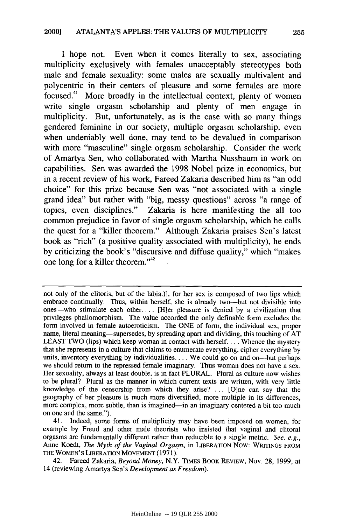I hope not. Even when it comes literally to sex, associating multiplicity exclusively with females unacceptably stereotypes both male and female sexuality: some males are sexually multivalent and polycentric in their centers of pleasure and some females are more focused." More broadly in the intellectual context, plenty of women write single orgasm scholarship and plenty of men engage in multiplicity. But, unfortunately, as is the case with so many things gendered feminine in our society, multiple orgasm scholarship, even when undeniably well done, may tend to be devalued in comparison with more "masculine" single orgasm scholarship. Consider the work of Amartya Sen, who collaborated with Martha Nussbaum in work on capabilities. Sen was awarded the 1998 Nobel prize in economics, but in a recent review of his work, Fareed Zakaria described him as "an odd choice" for this prize because Sen was "not associated with a single grand idea" but rather with "big, messy questions" across "a range of topics, even disciplines." Zakaria is here manifesting the all too common prejudice in favor of single orgasm scholarship, which he calls the quest for a "killer theorem." Although Zakaria praises Sen's latest book as "rich" (a positive quality associated with multiplicity), he ends by criticizing the book's "discursive and diffuse quality," which "makes one long for a killer theorem."<sup>42</sup>

42. Fareed Zakaria, *Beyond Money,* N.Y. TIMES BOOK REVIEW, Nov. 28, 1999, at 14 (reviewing Amartya Sen's *Development as Freedom).*

not only of the clitoris, but of the labia.)], for her sex is composed of two lips which embrace continually. Thus, within herself, she is already two-but not divisible into ones-who stimulate each other. ... [H]er pleasure is denied by a civilization that privileges phallomorphism. The value accorded the only definable form excludes the form involved in female autoeroticism. The ONE of form, the individual sex, proper name, literal meaning—supersedes, by spreading apart and dividing, this touching of AT LEAST TWO (lips) which keep woman in contact with herself... Whence the mystery that she represents in a culture that claims to enumerate everything, cipher everything by units, inventory everything by individualities.... We could go on and on--but perhaps we should return to the repressed female imaginary. Thus woman does not have a sex. Her sexuality, always at least double, is in fact PLURAL. Plural as culture now wishes to be plural? Plural as the manner in which current texts are written, with very little knowledge of the censorship from which they arise? ... [O]ne can say that the geography of her pleasure is much more diversified, more multiple in its differences, more complex, more subtle, than is imagined-in an imaginary centered a bit too much on one and the same.").

<sup>41.</sup> Indeed, some forms of multiplicity may have been imposed on women, for example by Freud and other male theorists who insisted that vaginal and clitoral orgasms are fundamentally different rather than reducible to a single metric. *See, e.g.,* Anne Koedt, *The Myth of the Vaginal Orgasm,* in LIBERATION Now: WRITINGS FROM THE WOMEN'S LIBERATION MOVEMENT (1971).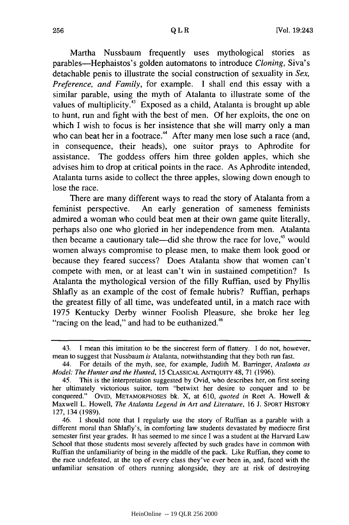Martha Nussbaum frequently uses mythological stories as parables-Hephaistos's golden automatons to introduce *Cloning,* Siva's detachable penis to illustrate the social construction of sexuality in *Sex, Preference, and Family,* for example. I shall end this essay with a similar parable, using the myth of Atalanta to illustrate some of the values of multiplicity.<sup>43</sup> Exposed as a child, Atalanta is brought up able to hunt, run and fight with the best of men. Of her exploits, the one on which I wish to focus is her insistence that she will marry only a man who can beat her in a footrace.<sup>44</sup> After many men lose such a race (and, in consequence, their heads), one suitor prays to Aphrodite for assistance. The goddess offers him three golden apples, which she advises him to drop at critical points in the race. As Aphrodite intended, Atalanta turns aside to collect the three apples, slowing down enough to lose the race.

There are many different ways to read the story of Atalanta from a feminist perspective. An early generation of sameness feminists admired a woman who could beat men at their own game quite literally, perhaps also one who gloried in her independence from men. Atalanta then became a cautionary tale—did she throw the race for love,<sup>45</sup> would women always compromise to please men, to make them look good or because they feared success? Does Atalanta show that women can't compete with men, or at least can't win in sustained competition? Is Atalanta the mythological version of the filly Ruffian, used by Phyllis Shlafly as an example of the cost of female hubris? Ruffian, perhaps the greatest filly of all time, was undefeated until, in a match race with 1975 Kentucky Derby winner Foolish Pleasure, she broke her leg "racing on the lead," and had to be euthanized.<sup>46</sup>

<sup>43.</sup> I mean this imitation to be the sincerest form of flattery. I do not, however, mean to suggest that Nussbaum *is* Atalanta, notwithstanding that they both run fast.

<sup>44.</sup> For details of the myth, see, for example, Judith M. Barringer, *Atalanta as Model: The Hunter and the Hunted,* 15 CLASSICAL ANTIQUITY 48, 71 (1996).

<sup>45.</sup> This is the interpretation suggested by Ovid, who describes her, on first seeing her ultimately victorious suitor, torn "betwixt her desire to conquer and to be conquered." OVID, METAMORPHOSES bk. X, at 610, *quoted in* Reet A. Howell & Maxwell L. Howell, *The Atalanta Legend in Art and Literature,* 16 J. SPORT HISTORY 127, 134 (1989).

<sup>46.</sup> I should note that I regularly use the story of Ruffian as a parable with a different moral than Shlafly's, in comforting law students devastated by mediocre first semester first year grades. It has seemed to me since I was a student at the Harvard Law School that those students most severely affected by such grades have in common with Ruffian the unfamiliarity of being in the middle of the pack. Like Ruffian, they come to the race undefeated, at the top of every class they've ever been in, and, faced with the unfamiliar sensation of others running alongside, they are at risk of destroying